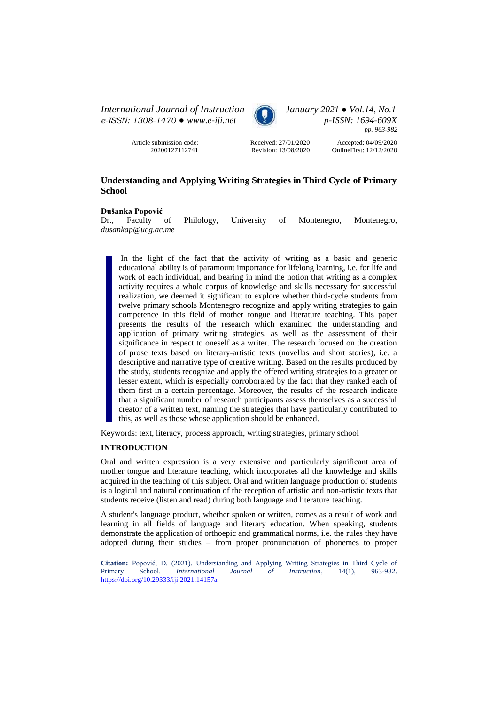*International Journal of Instruction January 2021 ● Vol.14, No.1 e-ISSN: 1308-1470 ● [www.e-iji.net](http://www.e-iji.net/) p-ISSN: 1694-609X*



*pp. 963-982*

Article submission code: 20200127112741

Received: 27/01/2020 Revision: 13/08/2020

Accepted: 04/09/2020 OnlineFirst: 12/12/2020

# **Understanding and Applying Writing Strategies in Third Cycle of Primary School**

# **Dušanka Popović**

Dr., Faculty of Philology, University of Montenegro, Montenegro, *dusankap@ucg.ac.me*

In the light of the fact that the activity of writing as a basic and generic educational ability is of paramount importance for lifelong learning, i.e. for life and work of each individual, and bearing in mind the notion that writing as a complex activity requires a whole corpus of knowledge and skills necessary for successful realization, we deemed it significant to explore whether third-cycle students from twelve primary schools Montenegro recognize and apply writing strategies to gain competence in this field of mother tongue and literature teaching. This paper presents the results of the research which examined the understanding and application of primary writing strategies, as well as the assessment of their significance in respect to oneself as a writer. The research focused on the creation of prose texts based on literary-artistic texts (novellas and short stories), i.e. a descriptive and narrative type of creative writing. Based on the results produced by the study, students recognize and apply the offered writing strategies to a greater or lesser extent, which is especially corroborated by the fact that they ranked each of them first in a certain percentage. Moreover, the results of the research indicate that a significant number of research participants assess themselves as a successful creator of a written text, naming the strategies that have particularly contributed to this, as well as those whose application should be enhanced.

Keywords: text, literacy, process approach, writing strategies, primary school

# **INTRODUCTION**

Oral and written expression is a very extensive and particularly significant area of mother tongue and literature teaching, which incorporates all the knowledge and skills acquired in the teaching of this subject. Oral and written language production of students is a logical and natural continuation of the reception of artistic and non-artistic texts that students receive (listen and read) during both language and literature teaching.

A student's language product, whether spoken or written, comes as a result of work and learning in all fields of language and literary education. When speaking, students demonstrate the application of orthoepic and grammatical norms, i.e. the rules they have adopted during their studies – from proper pronunciation of phonemes to proper

**Citation:** Popović, D. (2021). Understanding and Applying Writing Strategies in Third Cycle of Primary School. *International Journal of Instruction*, 14(1), 963-982. *International Journal of Instruction*, 14(1), <https://doi.org/10.29333/iji.2021.14157a>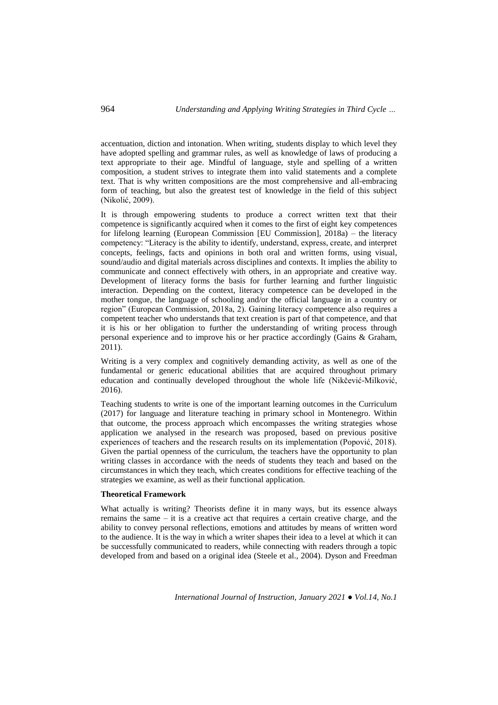accentuation, diction and intonation. When writing, students display to which level they have adopted spelling and grammar rules, as well as knowledge of laws of producing a text appropriate to their age. Mindful of language, style and spelling of a written composition, a student strives to integrate them into valid statements and a complete text. That is why written compositions are the most comprehensive and all-embracing form of teaching, but also the greatest test of knowledge in the field of this subject (Nikolić, 2009).

It is through empowering students to produce a correct written text that their competence is significantly acquired when it comes to the first of eight key competences for lifelong learning (European Commission [EU Commission], 2018a) – the literacy competency: "Literacy is the ability to identify, understand, express, create, and interpret concepts, feelings, facts and opinions in both oral and written forms, using visual, sound/audio and digital materials across disciplines and contexts. It implies the ability to communicate and connect effectively with others, in an appropriate and creative way. Development of literacy forms the basis for further learning and further linguistic interaction. Depending on the context, literacy competence can be developed in the mother tongue, the language of schooling and/or the official language in a country or region" (European Commission, 2018a, 2). Gaining literacy competence also requires a competent teacher who understands that text creation is part of that competence, and that it is his or her obligation to further the understanding of writing process through personal experience and to improve his or her practice accordingly (Gains & Graham, 2011).

Writing is a very complex and cognitively demanding activity, as well as one of the fundamental or generic educational abilities that are acquired throughout primary education and continually developed throughout the whole life (Nikčević-Milković, 2016).

Teaching students to write is one of the important learning outcomes in the Curriculum (2017) for language and literature teaching in primary school in Montenegro. Within that outcome, the process approach which encompasses the writing strategies whose application we analysed in the research was proposed, based on previous positive experiences of teachers and the research results on its implementation (Popović, 2018). Given the partial openness of the curriculum, the teachers have the opportunity to plan writing classes in accordance with the needs of students they teach and based on the circumstances in which they teach, which creates conditions for effective teaching of the strategies we examine, as well as their functional application.

#### **Theoretical Framework**

What actually is writing? Theorists define it in many ways, but its essence always remains the same  $-$  it is a creative act that requires a certain creative charge, and the ability to convey personal reflections, emotions and attitudes by means of written word to the audience. It is the way in which a writer shapes their idea to a level at which it can be successfully communicated to readers, while connecting with readers through a topic developed from and based on a original idea (Steele et al., 2004). Dyson and Freedman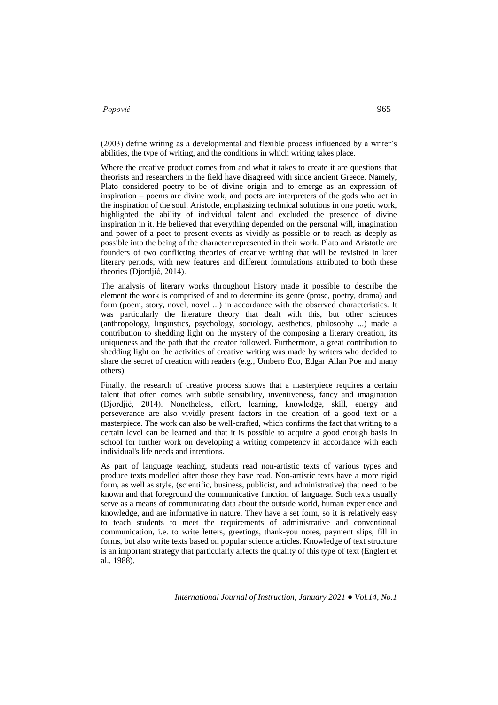(2003) define writing as a developmental and flexible process influenced by a writer's abilities, the type of writing, and the conditions in which writing takes place.

Where the creative product comes from and what it takes to create it are questions that theorists and researchers in the field have disagreed with since ancient Greece. Namely, Plato considered poetry to be of divine origin and to emerge as an expression of inspiration – poems are divine work, and poets are interpreters of the gods who act in the inspiration of the soul. Aristotle, emphasizing technical solutions in one poetic work, highlighted the ability of individual talent and excluded the presence of divine inspiration in it. He believed that everything depended on the personal will, imagination and power of a poet to present events as vividly as possible or to reach as deeply as possible into the being of the character represented in their work. Plato and Aristotle are founders of two conflicting theories of creative writing that will be revisited in later literary periods, with new features and different formulations attributed to both these theories (Djordjić, 2014).

The analysis of literary works throughout history made it possible to describe the element the work is comprised of and to determine its genre (prose, poetry, drama) and form (poem, story, novel, novel ...) in accordance with the observed characteristics. It was particularly the literature theory that dealt with this, but other sciences (anthropology, linguistics, psychology, sociology, aesthetics, philosophy ...) made a contribution to shedding light on the mystery of the composing a literary creation, its uniqueness and the path that the creator followed. Furthermore, a great contribution to shedding light on the activities of creative writing was made by writers who decided to share the secret of creation with readers (e.g., Umbero Eco, Edgar Allan Poe and many others).

Finally, the research of creative process shows that a masterpiece requires a certain talent that often comes with subtle sensibility, inventiveness, fancy and imagination (Djordjić, 2014). Nonetheless, effort, learning, knowledge, skill, energy and perseverance are also vividly present factors in the creation of a good text or a masterpiece. The work can also be well-crafted, which confirms the fact that writing to a certain level can be learned and that it is possible to acquire a good enough basis in school for further work on developing a writing competency in accordance with each individual's life needs and intentions.

As part of language teaching, students read non-artistic texts of various types and produce texts modelled after those they have read. Non-artistic texts have a more rigid form, as well as style, (scientific, business, publicist, and administrative) that need to be known and that foreground the communicative function of language. Such texts usually serve as a means of communicating data about the outside world, human experience and knowledge, and are informative in nature. They have a set form, so it is relatively easy to teach students to meet the requirements of administrative and conventional communication, i.e. to write letters, greetings, thank-you notes, payment slips, fill in forms, but also write texts based on popular science articles. Knowledge of text structure is an important strategy that particularly affects the quality of this type of text (Englert et al., 1988).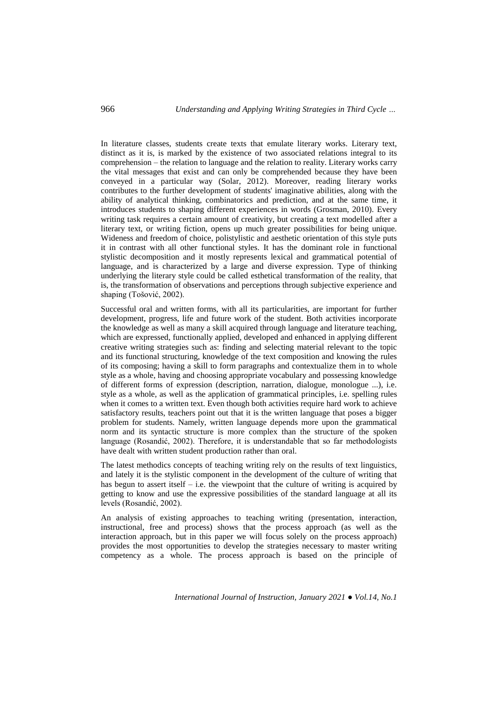In literature classes, students create texts that emulate literary works. Literary text, distinct as it is, is marked by the existence of two associated relations integral to its comprehension – the relation to language and the relation to reality. Literary works carry the vital messages that exist and can only be comprehended because they have been conveyed in a particular way (Solar, 2012). Moreover, reading literary works contributes to the further development of students' imaginative abilities, along with the ability of analytical thinking, combinatorics and prediction, and at the same time, it introduces students to shaping different experiences in words (Grosman, 2010). Every writing task requires a certain amount of creativity, but creating a text modelled after a literary text, or writing fiction, opens up much greater possibilities for being unique. Wideness and freedom of choice, polistylistic and aesthetic orientation of this style puts it in contrast with all other functional styles. It has the dominant role in functional stylistic decomposition and it mostly represents lexical and grammatical potential of language, and is characterized by a large and diverse expression. Type of thinking underlying the literary style could be called esthetical transformation of the reality, that is, the transformation of observations and perceptions through subjective experience and shaping (Tošović, 2002).

Successful oral and written forms, with all its particularities, are important for further development, progress, life and future work of the student. Both activities incorporate the knowledge as well as many a skill acquired through language and literature teaching, which are expressed, functionally applied, developed and enhanced in applying different creative writing strategies such as: finding and selecting material relevant to the topic and its functional structuring, knowledge of the text composition and knowing the rules of its composing; having a skill to form paragraphs and contextualize them in to whole style as a whole, having and choosing appropriate vocabulary and possessing knowledge of different forms of expression (description, narration, dialogue, monologue ...), i.e. style as a whole, as well as the application of grammatical principles, i.e. spelling rules when it comes to a written text. Even though both activities require hard work to achieve satisfactory results, teachers point out that it is the written language that poses a bigger problem for students. Namely, written language depends more upon the grammatical norm and its syntactic structure is more complex than the structure of the spoken language (Rosandić, 2002). Therefore, it is understandable that so far methodologists have dealt with written student production rather than oral.

The latest methodics concepts of teaching writing rely on the results of text linguistics, and lately it is the stylistic component in the development of the culture of writing that has begun to assert itself – i.e. the viewpoint that the culture of writing is acquired by getting to know and use the expressive possibilities of the standard language at all its levels (Rosandić, 2002).

An analysis of existing approaches to teaching writing (presentation, interaction, instructional, free and process) shows that the process approach (as well as the interaction approach, but in this paper we will focus solely on the process approach) provides the most opportunities to develop the strategies necessary to master writing competency as a whole. The process approach is based on the principle of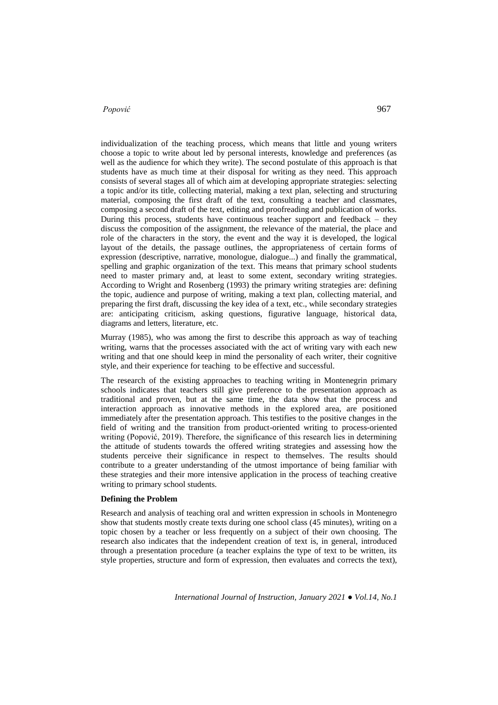individualization of the teaching process, which means that little and young writers choose a topic to write about led by personal interests, knowledge and preferences (as well as the audience for which they write). The second postulate of this approach is that students have as much time at their disposal for writing as they need. This approach consists of several stages all of which aim at developing appropriate strategies: selecting a topic and/or its title, collecting material, making a text plan, selecting and structuring material, composing the first draft of the text, consulting a teacher and classmates, composing a second draft of the text, editing and proofreading and publication of works. During this process, students have continuous teacher support and feedback – they discuss the composition of the assignment, the relevance of the material, the place and role of the characters in the story, the event and the way it is developed, the logical layout of the details, the passage outlines, the appropriateness of certain forms of expression (descriptive, narrative, monologue, dialogue...) and finally the grammatical, spelling and graphic organization of the text. This means that primary school students need to master primary and, at least to some extent, secondary writing strategies. According to Wright and Rosenberg (1993) the primary writing strategies are: defining the topic, audience and purpose of writing, making a text plan, collecting material, and preparing the first draft, discussing the key idea of a text, etc., while secondary strategies are: anticipating criticism, asking questions, figurative language, historical data, diagrams and letters, literature, etc.

Murray (1985), who was among the first to describe this approach as way of teaching writing, warns that the processes associated with the act of writing vary with each new writing and that one should keep in mind the personality of each writer, their cognitive style, and their experience for teaching to be effective and successful.

The research of the existing approaches to teaching writing in Montenegrin primary schools indicates that teachers still give preference to the presentation approach as traditional and proven, but at the same time, the data show that the process and interaction approach as innovative methods in the explored area, are positioned immediately after the presentation approach. This testifies to the positive changes in the field of writing and the transition from product-oriented writing to process-oriented writing (Popović, 2019). Therefore, the significance of this research lies in determining the attitude of students towards the offered writing strategies and assessing how the students perceive their significance in respect to themselves. The results should contribute to a greater understanding of the utmost importance of being familiar with these strategies and their more intensive application in the process of teaching creative writing to primary school students.

# **Defining the Problem**

Research and analysis of teaching oral and written expression in schools in Montenegro show that students mostly create texts during one school class (45 minutes), writing on a topic chosen by a teacher or less frequently on a subject of their own choosing. The research also indicates that the independent creation of text is, in general, introduced through a presentation procedure (a teacher explains the type of text to be written, its style properties, structure and form of expression, then evaluates and corrects the text),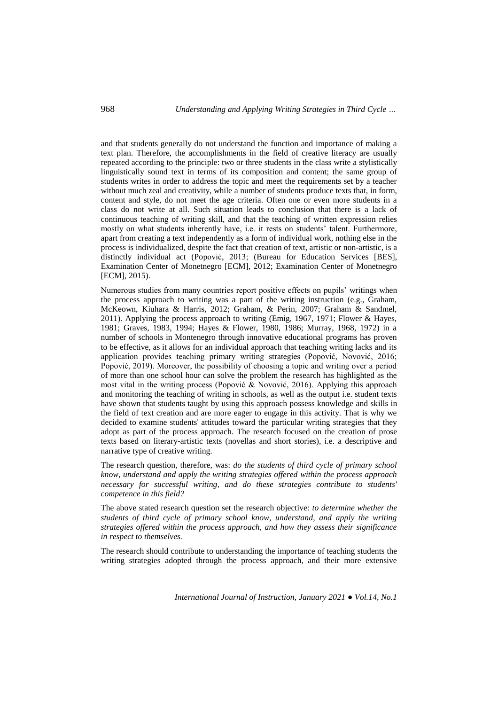and that students generally do not understand the function and importance of making a text plan. Therefore, the accomplishments in the field of creative literacy are usually repeated according to the principle: two or three students in the class write a stylistically linguistically sound text in terms of its composition and content; the same group of students writes in order to address the topic and meet the requirements set by a teacher without much zeal and creativity, while a number of students produce texts that, in form, content and style, do not meet the age criteria. Often one or even more students in a class do not write at all. Such situation leads to conclusion that there is a lack of continuous teaching of writing skill, and that the teaching of written expression relies mostly on what students inherently have, i.e. it rests on students' talent. Furthermore, apart from creating a text independently as a form of individual work, nothing else in the process is individualized, despite the fact that creation of text, artistic or non-artistic, is a distinctly individual act (Popović, 2013; ([Bureau for Education Services](http://www.zzs.gov.me/en) [BES], Examination Center of Monetnegro [ECM], 2012; Examination Center of Monetnegro [ECM], 2015).

Numerous studies from many countries report positive effects on pupils' writings when the process approach to writing was a part of the writing instruction (e.g., Graham, McKeown, Kiuhara & Harris, 2012; Graham, & Perin, 2007; Graham & Sandmel, 2011). Applying the process approach to writing (Emig, 1967, 1971; Flower & Hayes, 1981; Graves, 1983, 1994; Hayes & Flower, 1980, 1986; Murray, 1968, 1972) in a number of schools in Montenegro through innovative educational programs has proven to be effective, as it allows for an individual approach that teaching writing lacks and its application provides teaching primary writing strategies (Popović, Novović, 2016; Popović, 2019). Moreover, the possibility of choosing a topic and writing over a period of more than one school hour can solve the problem the research has highlighted as the most vital in the writing process (Popović & Novović, 2016). Applying this approach and monitoring the teaching of writing in schools, as well as the output i.e. student texts have shown that students taught by using this approach possess knowledge and skills in the field of text creation and are more eager to engage in this activity. That is why we decided to examine students' attitudes toward the particular writing strategies that they adopt as part of the process approach. The research focused on the creation of prose texts based on literary-artistic texts (novellas and short stories), i.e. a descriptive and narrative type of creative writing.

The research question, therefore, was: *do the students of third cycle of primary school know, understand and apply the writing strategies offered within the process approach necessary for successful writing, and do these strategies contribute to students' competence in this field?*

The above stated research question set the research objective: *to determine whether the students of third cycle of primary school know, understand, and apply the writing strategies offered within the process approach, and how they assess their significance in respect to themselves.*

The research should contribute to understanding the importance of teaching students the writing strategies adopted through the process approach, and their more extensive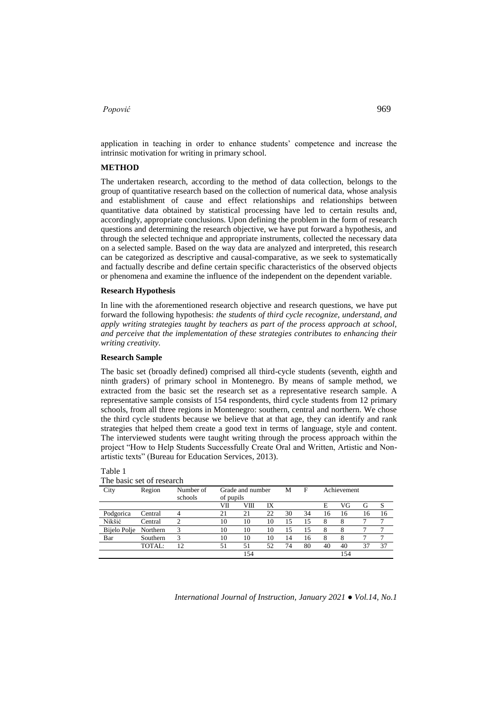application in teaching in order to enhance students' competence and increase the intrinsic motivation for writing in primary school.

#### **METHOD**

The undertaken research, according to the method of data collection, belongs to the group of quantitative research based on the collection of numerical data, whose analysis and establishment of cause and effect relationships and relationships between quantitative data obtained by statistical processing have led to certain results and, accordingly, appropriate conclusions. Upon defining the problem in the form of research questions and determining the research objective, we have put forward a hypothesis, and through the selected technique and appropriate instruments, collected the necessary data on a selected sample. Based on the way data are analyzed and interpreted, this research can be categorized as descriptive and causal-comparative, as we seek to systematically and factually describe and define certain specific characteristics of the observed objects or phenomena and examine the influence of the independent on the dependent variable.

#### **Research Hypothesis**

In line with the aforementioned research objective and research questions, we have put forward the following hypothesis: *the students of third cycle recognize, understand, and apply writing strategies taught by teachers as part of the process approach at school, and perceive that the implementation of these strategies contributes to enhancing their writing creativity.*

#### **Research Sample**

The basic set (broadly defined) comprised all third-cycle students (seventh, eighth and ninth graders) of primary school in Montenegro. By means of sample method, we extracted from the basic set the research set as a representative research sample. A representative sample consists of 154 respondents, third cycle students from 12 primary schools, from all three regions in Montenegro: southern, central and northern. We chose the third cycle students because we believe that at that age, they can identify and rank strategies that helped them create a good text in terms of language, style and content. The interviewed students were taught writing through the process approach within the project "How to Help Students Successfully Create Oral and Written, Artistic and Nonartistic texts" ([Bureau for Education Services,](http://www.zzs.gov.me/en) 2013).

| The basic set of research |          |           |                                |     |    |    |    |             |     |    |    |
|---------------------------|----------|-----------|--------------------------------|-----|----|----|----|-------------|-----|----|----|
| City                      | Region   | Number of | Grade and number               |     |    | М  | F  | Achievement |     |    |    |
|                           |          | schools   | of pupils<br>VII<br>VIII<br>IX |     |    |    |    | E           | VG  | G  |    |
|                           |          |           |                                |     |    |    |    |             |     |    | S  |
| Podgorica                 | Central  | 4         | 21                             | 21  | 22 | 30 | 34 | 16          | 16  | 16 | 16 |
| Nikšić                    | Central  | 2         | 10                             | 10  | 10 | 15 | 15 | 8           | 8   |    |    |
| Bijelo Polje              | Northern | 3         | 10                             | 10  | 10 | 15 | 15 | 8           | 8   |    | ⇁  |
| Bar                       | Southern | 3         | 10                             | 10  | 10 | 14 | 16 | 8           | 8   |    | 7  |
|                           | TOTAL:   | 12        | 51                             | 51  | 52 | 74 | 80 | 40          | 40  | 37 | 37 |
|                           |          |           |                                | 154 |    |    |    |             | 154 |    |    |

Table 1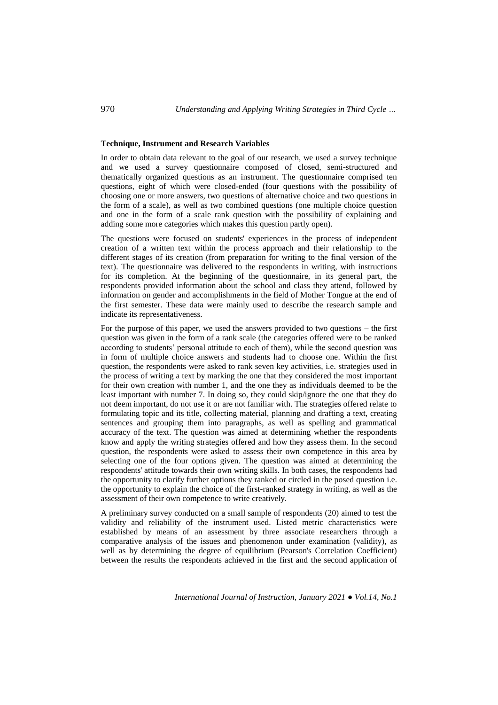#### **Technique, Instrument and Research Variables**

In order to obtain data relevant to the goal of our research, we used a survey technique and we used a survey questionnaire composed of closed, semi-structured and thematically organized questions as an instrument. The questionnaire comprised ten questions, eight of which were closed-ended (four questions with the possibility of choosing one or more answers, two questions of alternative choice and two questions in the form of a scale), as well as two combined questions (one multiple choice question and one in the form of a scale rank question with the possibility of explaining and adding some more categories which makes this question partly open).

The questions were focused on students' experiences in the process of independent creation of a written text within the process approach and their relationship to the different stages of its creation (from preparation for writing to the final version of the text). The questionnaire was delivered to the respondents in writing, with instructions for its completion. At the beginning of the questionnaire, in its general part, the respondents provided information about the school and class they attend, followed by information on gender and accomplishments in the field of Mother Tongue at the end of the first semester. These data were mainly used to describe the research sample and indicate its representativeness.

For the purpose of this paper, we used the answers provided to two questions – the first question was given in the form of a rank scale (the categories offered were to be ranked according to students' personal attitude to each of them), while the second question was in form of multiple choice answers and students had to choose one. Within the first question, the respondents were asked to rank seven key activities, i.e. strategies used in the process of writing a text by marking the one that they considered the most important for their own creation with number 1, and the one they as individuals deemed to be the least important with number 7. In doing so, they could skip/ignore the one that they do not deem important, do not use it or are not familiar with. The strategies offered relate to formulating topic and its title, collecting material, planning and drafting a text, creating sentences and grouping them into paragraphs, as well as spelling and grammatical accuracy of the text. The question was aimed at determining whether the respondents know and apply the writing strategies offered and how they assess them. In the second question, the respondents were asked to assess their own competence in this area by selecting one of the four options given. The question was aimed at determining the respondents' attitude towards their own writing skills. In both cases, the respondents had the opportunity to clarify further options they ranked or circled in the posed question i.e. the opportunity to explain the choice of the first-ranked strategy in writing, as well as the assessment of their own competence to write creatively.

A preliminary survey conducted on a small sample of respondents (20) aimed to test the validity and reliability of the instrument used. Listed metric characteristics were established by means of an assessment by three associate researchers through a comparative analysis of the issues and phenomenon under examination (validity), as well as by determining the degree of equilibrium (Pearson's Correlation Coefficient) between the results the respondents achieved in the first and the second application of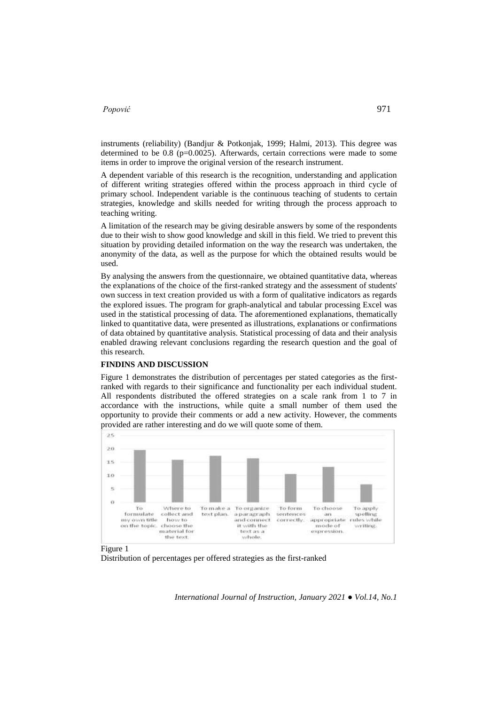instruments (reliability) (Bandjur & Potkonjak, 1999; Halmi, 2013). This degree was determined to be  $0.8$  ( $p=0.0025$ ). Afterwards, certain corrections were made to some items in order to improve the original version of the research instrument.

A dependent variable of this research is the recognition, understanding and application of different writing strategies offered within the process approach in third cycle of primary school. Independent variable is the continuous teaching of students to certain strategies, knowledge and skills needed for writing through the process approach to teaching writing.

A limitation of the research may be giving desirable answers by some of the respondents due to their wish to show good knowledge and skill in this field. We tried to prevent this situation by providing detailed information on the way the research was undertaken, the anonymity of the data, as well as the purpose for which the obtained results would be used.

By analysing the answers from the questionnaire, we obtained quantitative data, whereas the explanations of the choice of the first-ranked strategy and the assessment of students' own success in text creation provided us with a form of qualitative indicators as regards the explored issues. The program for graph-analytical and tabular processing Excel was used in the statistical processing of data. The aforementioned explanations, thematically linked to quantitative data, were presented as illustrations, explanations or confirmations of data obtained by quantitative analysis. Statistical processing of data and their analysis enabled drawing relevant conclusions regarding the research question and the goal of this research.

# **FINDINS AND DISCUSSION**

Figure 1 demonstrates the distribution of percentages per stated categories as the firstranked with regards to their significance and functionality per each individual student. All respondents distributed the offered strategies on a scale rank from 1 to 7 in accordance with the instructions, while quite a small number of them used the opportunity to provide their comments or add a new activity. However, the comments provided are rather interesting and do we will quote some of them.



Figure 1

Distribution of percentages per offered strategies as the first-ranked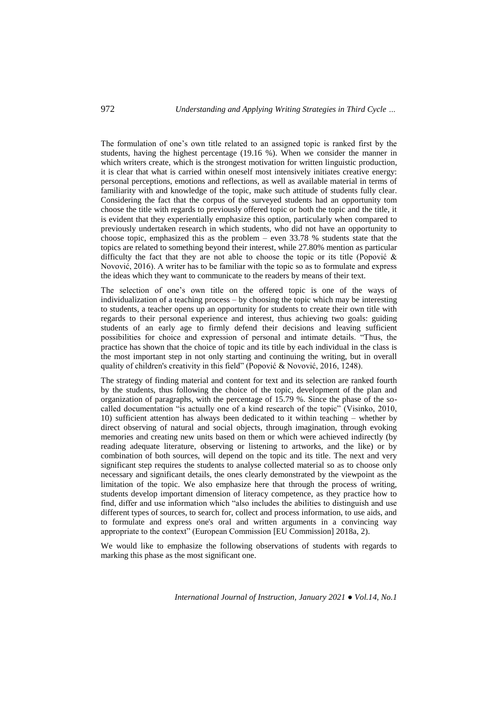The formulation of one's own title related to an assigned topic is ranked first by the students, having the highest percentage (19.16 %). When we consider the manner in which writers create, which is the strongest motivation for written linguistic production, it is clear that what is carried within oneself most intensively initiates creative energy: personal perceptions, emotions and reflections, as well as available material in terms of familiarity with and knowledge of the topic, make such attitude of students fully clear. Considering the fact that the corpus of the surveyed students had an opportunity tom choose the title with regards to previously offered topic or both the topic and the title, it is evident that they experientially emphasize this option, particularly when compared to previously undertaken research in which students, who did not have an opportunity to choose topic, emphasized this as the problem – even 33.78 % students state that the topics are related to something beyond their interest, while 27.80% mention as particular difficulty the fact that they are not able to choose the topic or its title (Popović & Novović, 2016). A writer has to be familiar with the topic so as to formulate and express the ideas which they want to communicate to the readers by means of their text.

The selection of one's own title on the offered topic is one of the ways of individualization of a teaching process – by choosing the topic which may be interesting to students, a teacher opens up an opportunity for students to create their own title with regards to their personal experience and interest, thus achieving two goals: guiding students of an early age to firmly defend their decisions and leaving sufficient possibilities for choice and expression of personal and intimate details. "Thus, the practice has shown that the choice of topic and its title by each individual in the class is the most important step in not only starting and continuing the writing, but in overall quality of children's creativity in this field" (Popović & Novović, 2016, 1248).

The strategy of finding material and content for text and its selection are ranked fourth by the students, thus following the choice of the topic, development of the plan and organization of paragraphs, with the percentage of 15.79 %. Since the phase of the socalled documentation "is actually one of a kind research of the topic" (Visinko, 2010, 10) sufficient attention has always been dedicated to it within teaching – whether by direct observing of natural and social objects, through imagination, through evoking memories and creating new units based on them or which were achieved indirectly (by reading adequate literature, observing or listening to artworks, and the like) or by combination of both sources, will depend on the topic and its title. The next and very significant step requires the students to analyse collected material so as to choose only necessary and significant details, the ones clearly demonstrated by the viewpoint as the limitation of the topic. We also emphasize here that through the process of writing, students develop important dimension of literacy competence, as they practice how to find, differ and use information which "also includes the abilities to distinguish and use different types of sources, to search for, collect and process information, to use aids, and to formulate and express one's oral and written arguments in a convincing way appropriate to the context" (European Commission [EU Commission] 2018a, 2).

We would like to emphasize the following observations of students with regards to marking this phase as the most significant one.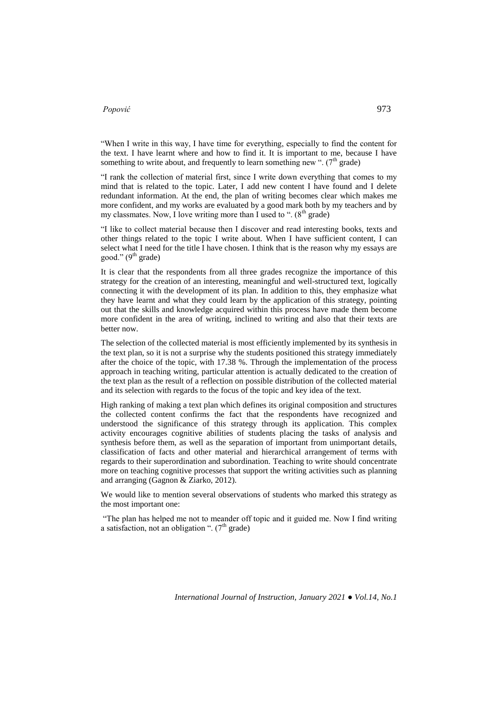"When I write in this way, I have time for everything, especially to find the content for the text. I have learnt where and how to find it. It is important to me, because I have something to write about, and frequently to learn something new ".  $(7<sup>th</sup> \text{ grade})$ 

"I rank the collection of material first, since I write down everything that comes to my mind that is related to the topic. Later, I add new content I have found and I delete redundant information. At the end, the plan of writing becomes clear which makes me more confident, and my works are evaluated by a good mark both by my teachers and by my classmates. Now, I love writing more than I used to ".  $(8<sup>th</sup> \text{ grade})$ 

"I like to collect material because then I discover and read interesting books, texts and other things related to the topic I write about. When I have sufficient content, I can select what I need for the title I have chosen. I think that is the reason why my essays are good." (9<sup>th</sup> grade)

It is clear that the respondents from all three grades recognize the importance of this strategy for the creation of an interesting, meaningful and well-structured text, logically connecting it with the development of its plan. In addition to this, they emphasize what they have learnt and what they could learn by the application of this strategy, pointing out that the skills and knowledge acquired within this process have made them become more confident in the area of writing, inclined to writing and also that their texts are better now.

The selection of the collected material is most efficiently implemented by its synthesis in the text plan, so it is not a surprise why the students positioned this strategy immediately after the choice of the topic, with 17.38 %. Through the implementation of the process approach in teaching writing, particular attention is actually dedicated to the creation of the text plan as the result of a reflection on possible distribution of the collected material and its selection with regards to the focus of the topic and key idea of the text.

High ranking of making a text plan which defines its original composition and structures the collected content confirms the fact that the respondents have recognized and understood the significance of this strategy through its application. This complex activity encourages cognitive abilities of students placing the tasks of analysis and synthesis before them, as well as the separation of important from unimportant details, classification of facts and other material and hierarchical arrangement of terms with regards to their superordination and subordination. Teaching to write should concentrate more on teaching cognitive processes that support the writing activities such as planning and arranging (Gagnon & Ziarko, 2012).

We would like to mention several observations of students who marked this strategy as the most important one:

"The plan has helped me not to meander off topic and it guided me. Now I find writing a satisfaction, not an obligation ".  $(7<sup>th</sup> \text{ grade})$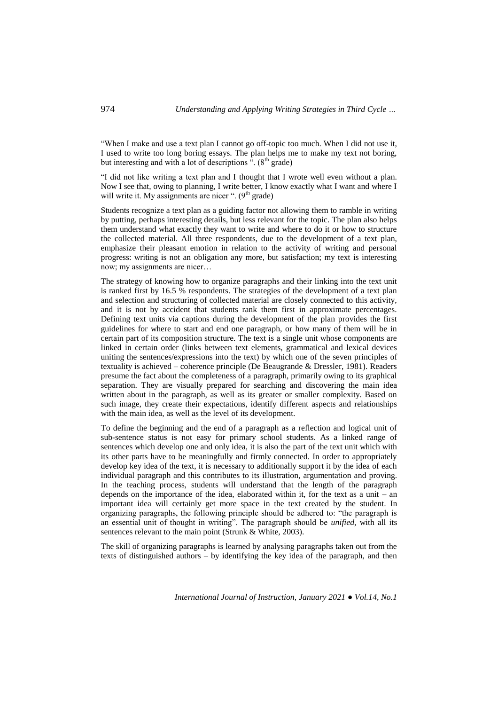"When I make and use a text plan I cannot go off-topic too much. When I did not use it, I used to write too long boring essays. The plan helps me to make my text not boring, but interesting and with a lot of descriptions ".  $(8<sup>th</sup> grade)$ 

"I did not like writing a text plan and I thought that I wrote well even without a plan. Now I see that, owing to planning, I write better, I know exactly what I want and where I will write it. My assignments are nicer ".  $(9<sup>th</sup> \text{ grade})$ 

Students recognize a text plan as a guiding factor not allowing them to ramble in writing by putting, perhaps interesting details, but less relevant for the topic. The plan also helps them understand what exactly they want to write and where to do it or how to structure the collected material. All three respondents, due to the development of a text plan, emphasize their pleasant emotion in relation to the activity of writing and personal progress: writing is not an obligation any more, but satisfaction; my text is interesting now; my assignments are nicer…

The strategy of knowing how to organize paragraphs and their linking into the text unit is ranked first by 16.5 % respondents. The strategies of the development of a text plan and selection and structuring of collected material are closely connected to this activity, and it is not by accident that students rank them first in approximate percentages. Defining text units via captions during the development of the plan provides the first guidelines for where to start and end one paragraph, or how many of them will be in certain part of its composition structure. The text is a single unit whose components are linked in certain order (links between text elements, grammatical and lexical devices uniting the sentences/expressions into the text) by which one of the seven principles of textuality is achieved – coherence principle (De Beaugrande & Dressler, 1981). Readers presume the fact about the completeness of a paragraph, primarily owing to its graphical separation. They are visually prepared for searching and discovering the main idea written about in the paragraph, as well as its greater or smaller complexity. Based on such image, they create their expectations, identify different aspects and relationships with the main idea, as well as the level of its development.

To define the beginning and the end of a paragraph as a reflection and logical unit of sub-sentence status is not easy for primary school students. As a linked range of sentences which develop one and only idea, it is also the part of the text unit which with its other parts have to be meaningfully and firmly connected. In order to appropriately develop key idea of the text, it is necessary to additionally support it by the idea of each individual paragraph and this contributes to its illustration, argumentation and proving. In the teaching process, students will understand that the length of the paragraph depends on the importance of the idea, elaborated within it, for the text as a unit – an important idea will certainly get more space in the text created by the student. In organizing paragraphs, the following principle should be adhered to: "the paragraph is an essential unit of thought in writing". The paragraph should be *unified,* with all its sentences relevant to the main point (Strunk & White, 2003).

The skill of organizing paragraphs is learned by analysing paragraphs taken out from the texts of distinguished authors – by identifying the key idea of the paragraph, and then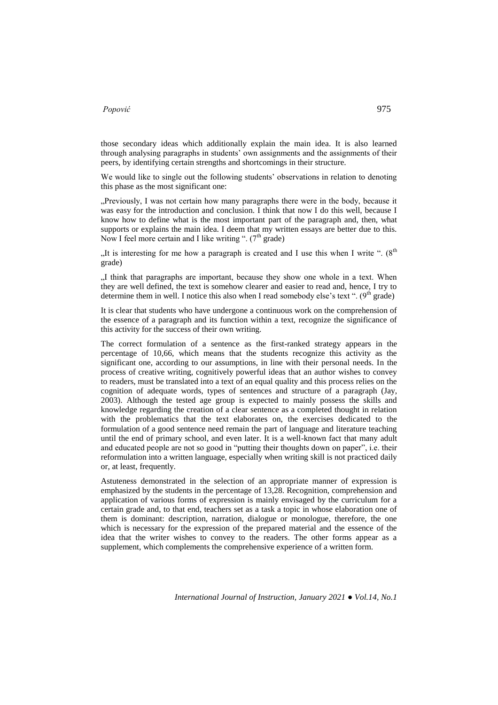those secondary ideas which additionally explain the main idea. It is also learned through analysing paragraphs in students' own assignments and the assignments of their peers, by identifying certain strengths and shortcomings in their structure.

We would like to single out the following students' observations in relation to denoting this phase as the most significant one:

"Previously, I was not certain how many paragraphs there were in the body, because it was easy for the introduction and conclusion. I think that now I do this well, because I know how to define what is the most important part of the paragraph and, then, what supports or explains the main idea. I deem that my written essays are better due to this. Now I feel more certain and I like writing ".  $(7<sup>th</sup> grade)$ 

"It is interesting for me how a paragraph is created and I use this when I write ".  $(8<sup>th</sup>$ grade)

"I think that paragraphs are important, because they show one whole in a text. When they are well defined, the text is somehow clearer and easier to read and, hence, I try to determine them in well. I notice this also when I read somebody else's text". ( $9^{\text{th}}$  grade)

It is clear that students who have undergone a continuous work on the comprehension of the essence of a paragraph and its function within a text, recognize the significance of this activity for the success of their own writing.

The correct formulation of a sentence as the first-ranked strategy appears in the percentage of 10,66, which means that the students recognize this activity as the significant one, according to our assumptions, in line with their personal needs. In the process of creative writing, cognitively powerful ideas that an author wishes to convey to readers, must be translated into a text of an equal quality and this process relies on the cognition of adequate words, types of sentences and structure of a paragraph (Jay, 2003). Although the tested age group is expected to mainly possess the skills and knowledge regarding the creation of a clear sentence as a completed thought in relation with the problematics that the text elaborates on, the exercises dedicated to the formulation of a good sentence need remain the part of language and literature teaching until the end of primary school, and even later. It is a well-known fact that many adult and educated people are not so good in "putting their thoughts down on paper", i.e. their reformulation into a written language, especially when writing skill is not practiced daily or, at least, frequently.

Astuteness demonstrated in the selection of an appropriate manner of expression is emphasized by the students in the percentage of 13,28. Recognition, comprehension and application of various forms of expression is mainly envisaged by the curriculum for a certain grade and, to that end, teachers set as a task a topic in whose elaboration one of them is dominant: description, narration, dialogue or monologue, therefore, the one which is necessary for the expression of the prepared material and the essence of the idea that the writer wishes to convey to the readers. The other forms appear as a supplement, which complements the comprehensive experience of a written form.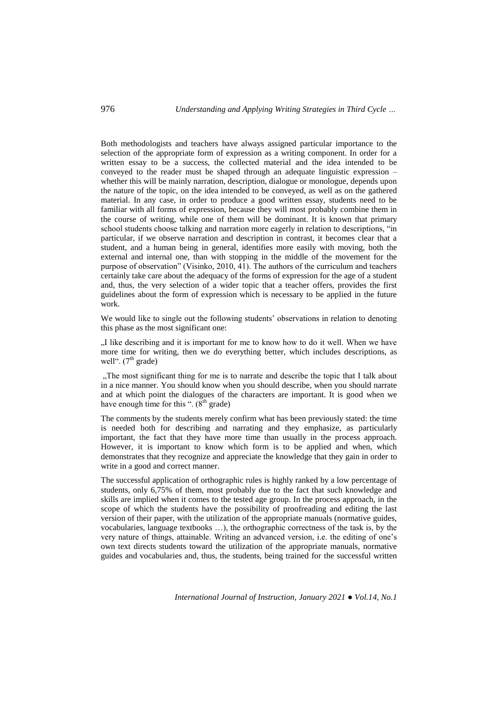Both methodologists and teachers have always assigned particular importance to the selection of the appropriate form of expression as a writing component. In order for a written essay to be a success, the collected material and the idea intended to be conveyed to the reader must be shaped through an adequate linguistic expression – whether this will be mainly narration, description, dialogue or monologue, depends upon the nature of the topic, on the idea intended to be conveyed, as well as on the gathered material. In any case, in order to produce a good written essay, students need to be familiar with all forms of expression, because they will most probably combine them in the course of writing, while one of them will be dominant. It is known that primary school students choose talking and narration more eagerly in relation to descriptions, "in particular, if we observe narration and description in contrast, it becomes clear that a student, and a human being in general, identifies more easily with moving, both the external and internal one, than with stopping in the middle of the movement for the purpose of observation" (Visinko, 2010, 41). The authors of the curriculum and teachers certainly take care about the adequacy of the forms of expression for the age of a student and, thus, the very selection of a wider topic that a teacher offers, provides the first guidelines about the form of expression which is necessary to be applied in the future work.

We would like to single out the following students' observations in relation to denoting this phase as the most significant one:

"I like describing and it is important for me to know how to do it well. When we have more time for writing, then we do everything better, which includes descriptions, as well".  $(7<sup>th</sup> \text{ grade})$ 

"The most significant thing for me is to narrate and describe the topic that I talk about in a nice manner. You should know when you should describe, when you should narrate and at which point the dialogues of the characters are important. It is good when we have enough time for this ".  $(8<sup>th</sup> \text{ grade})$ 

The comments by the students merely confirm what has been previously stated: the time is needed both for describing and narrating and they emphasize, as particularly important, the fact that they have more time than usually in the process approach. However, it is important to know which form is to be applied and when, which demonstrates that they recognize and appreciate the knowledge that they gain in order to write in a good and correct manner.

The successful application of orthographic rules is highly ranked by a low percentage of students, only 6,75% of them, most probably due to the fact that such knowledge and skills are implied when it comes to the tested age group. In the process approach, in the scope of which the students have the possibility of proofreading and editing the last version of their paper, with the utilization of the appropriate manuals (normative guides, vocabularies, language textbooks …), the orthographic correctness of the task is, by the very nature of things, attainable. Writing an advanced version, i.e. the editing of one's own text directs students toward the utilization of the appropriate manuals, normative guides and vocabularies and, thus, the students, being trained for the successful written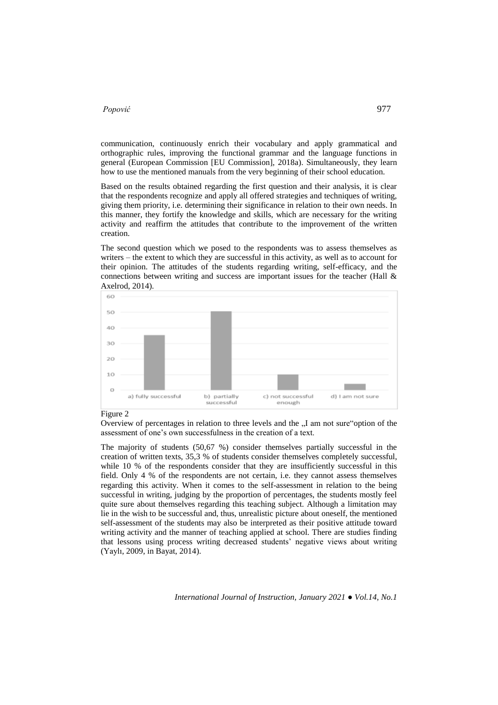communication, continuously enrich their vocabulary and apply grammatical and orthographic rules, improving the functional grammar and the language functions in general (European Commission [EU Commission], 2018a). Simultaneously, they learn how to use the mentioned manuals from the very beginning of their school education.

Based on the results obtained regarding the first question and their analysis, it is clear that the respondents recognize and apply all offered strategies and techniques of writing, giving them priority, i.e. determining their significance in relation to their own needs. In this manner, they fortify the knowledge and skills, which are necessary for the writing activity and reaffirm the attitudes that contribute to the improvement of the written creation.

The second question which we posed to the respondents was to assess themselves as writers – the extent to which they are successful in this activity, as well as to account for their opinion. The attitudes of the students regarding writing, self-efficacy, and the connections between writing and success are important issues for the teacher (Hall & Axelrod, 2014).



#### Figure 2

Overview of percentages in relation to three levels and the  $I<sub>1</sub>$  am not sure "option of the assessment of one's own successfulness in the creation of a text.

The majority of students (50,67 %) consider themselves partially successful in the creation of written texts, 35,3 % of students consider themselves completely successful, while 10 % of the respondents consider that they are insufficiently successful in this field. Only 4 % of the respondents are not certain, i.e. they cannot assess themselves regarding this activity. When it comes to the self-assessment in relation to the being successful in writing, judging by the proportion of percentages, the students mostly feel quite sure about themselves regarding this teaching subject. Although a limitation may lie in the wish to be successful and, thus, unrealistic picture about oneself, the mentioned self-assessment of the students may also be interpreted as their positive attitude toward writing activity and the manner of teaching applied at school. There are studies finding that lessons using process writing decreased students' negative views about writing (Yaylı, 2009, in Bayat, 2014).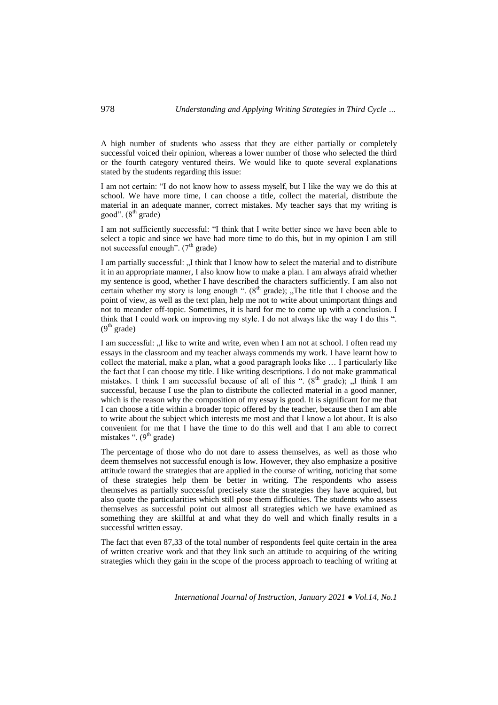A high number of students who assess that they are either partially or completely successful voiced their opinion, whereas a lower number of those who selected the third or the fourth category ventured theirs. We would like to quote several explanations stated by the students regarding this issue:

I am not certain: "I do not know how to assess myself, but I like the way we do this at school. We have more time, I can choose a title, collect the material, distribute the material in an adequate manner, correct mistakes. My teacher says that my writing is good".  $(8<sup>th</sup> \text{ grade})$ 

I am not sufficiently successful: "I think that I write better since we have been able to select a topic and since we have had more time to do this, but in my opinion I am still not successful enough".  $(7<sup>th</sup> \text{ grade})$ 

I am partially successful: "I think that I know how to select the material and to distribute it in an appropriate manner, I also know how to make a plan. I am always afraid whether my sentence is good, whether I have described the characters sufficiently. I am also not certain whether my story is long enough ".  $(8<sup>th</sup> grade)$ ; "The title that I choose and the point of view, as well as the text plan, help me not to write about unimportant things and not to meander off-topic. Sometimes, it is hard for me to come up with a conclusion. I think that I could work on improving my style. I do not always like the way I do this ".  $(9<sup>th</sup> grade)$ 

I am successful: "I like to write and write, even when I am not at school. I often read my essays in the classroom and my teacher always commends my work. I have learnt how to collect the material, make a plan, what a good paragraph looks like … I particularly like the fact that I can choose my title. I like writing descriptions. I do not make grammatical mistakes. I think I am successful because of all of this ".  $(8<sup>th</sup> \text{ grade})$ ; "I think I am successful, because I use the plan to distribute the collected material in a good manner, which is the reason why the composition of my essay is good. It is significant for me that I can choose a title within a broader topic offered by the teacher, because then I am able to write about the subject which interests me most and that I know a lot about. It is also convenient for me that I have the time to do this well and that I am able to correct mistakes ".  $(9<sup>th</sup> \text{ grade})$ 

The percentage of those who do not dare to assess themselves, as well as those who deem themselves not successful enough is low. However, they also emphasize a positive attitude toward the strategies that are applied in the course of writing, noticing that some of these strategies help them be better in writing. The respondents who assess themselves as partially successful precisely state the strategies they have acquired, but also quote the particularities which still pose them difficulties. The students who assess themselves as successful point out almost all strategies which we have examined as something they are skillful at and what they do well and which finally results in a successful written essay.

The fact that even 87,33 of the total number of respondents feel quite certain in the area of written creative work and that they link such an attitude to acquiring of the writing strategies which they gain in the scope of the process approach to teaching of writing at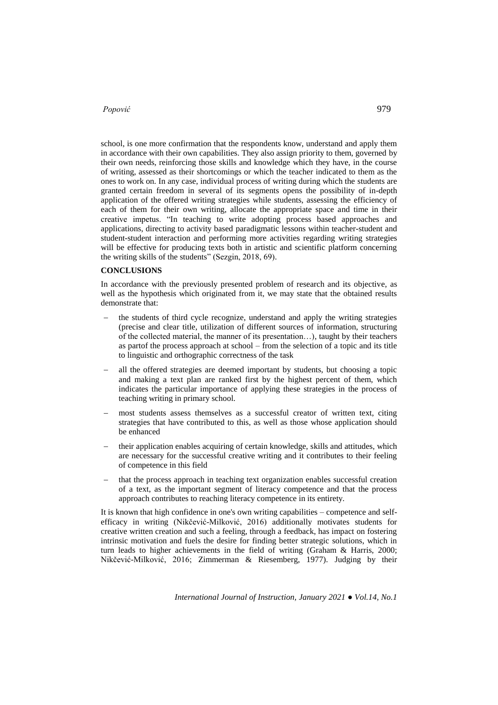school, is one more confirmation that the respondents know, understand and apply them in accordance with their own capabilities. They also assign priority to them, governed by their own needs, reinforcing those skills and knowledge which they have, in the course of writing, assessed as their shortcomings or which the teacher indicated to them as the ones to work on. In any case, individual process of writing during which the students are granted certain freedom in several of its segments opens the possibility of in-depth application of the offered writing strategies while students, assessing the efficiency of each of them for their own writing, allocate the appropriate space and time in their creative impetus. "In teaching to write adopting process based approaches and applications, directing to activity based paradigmatic lessons within teacher-student and student-student interaction and performing more activities regarding writing strategies will be effective for producing texts both in artistic and scientific platform concerning the writing skills of the students" (Sezgin, 2018, 69).

#### **CONCLUSIONS**

In accordance with the previously presented problem of research and its objective, as well as the hypothesis which originated from it, we may state that the obtained results demonstrate that:

- the students of third cycle recognize, understand and apply the writing strategies (precise and clear title, utilization of different sources of information, structuring of the collected material, the manner of its presentation…), taught by their teachers as partof the process approach at school – from the selection of a topic and its title to linguistic and orthographic correctness of the task
- all the offered strategies are deemed important by students, but choosing a topic and making a text plan are ranked first by the highest percent of them, which indicates the particular importance of applying these strategies in the process of teaching writing in primary school.
- most students assess themselves as a successful creator of written text, citing strategies that have contributed to this, as well as those whose application should be enhanced
- their application enables acquiring of certain knowledge, skills and attitudes, which are necessary for the successful creative writing and it contributes to their feeling of competence in this field
- that the process approach in teaching text organization enables successful creation of a text, as the important segment of literacy competence and that the process approach contributes to reaching literacy competence in its entirety.

It is known that high confidence in one's own writing capabilities – competence and selfefficacy in writing (Nikčević-Milković, 2016) additionally motivates students for creative written creation and such a feeling, through a feedback, has impact on fostering intrinsic motivation and fuels the desire for finding better strategic solutions, which in turn leads to higher achievements in the field of writing (Graham & Harris, 2000; Nikčević-Milković, 2016; Zimmerman & Riesemberg, 1977). Judging by their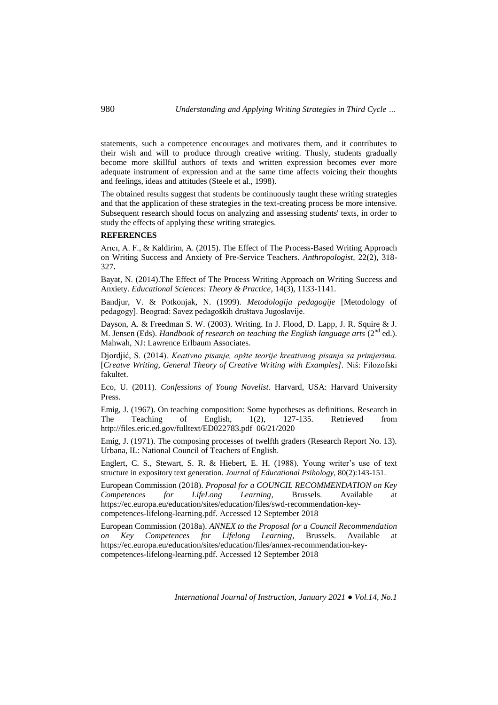statements, such a competence encourages and motivates them, and it contributes to their wish and will to produce through creative writing. Thusly, students gradually become more skillful authors of texts and written expression becomes ever more adequate instrument of expression and at the same time affects voicing their thoughts and feelings, ideas and attitudes (Steele et al., 1998).

The obtained results suggest that students be continuously taught these writing strategies and that the application of these strategies in the text-creating process be more intensive. Subsequent research should focus on analyzing and assessing students' texts, in order to study the effects of applying these writing strategies.

#### **REFERENCES**

Arıcı, A. F., & Kaldirim, A. (2015). The Effect of The Process-Based Writing Approach on Writing Success and Anxiety of Pre-Service Teachers. *Anthropologist,* 22(2), 318- 327**.**

Bayat, N. (2014).The Effect of The Process Writing Approach on Writing Success and Anxiety. *Educational Sciences: Theory & Practice*, 14(3), 1133-1141.

Bandjur, V. & Potkonjak, N. (1999). *Metodologija pedagogije* [Metodology of pedagogy]. Beograd: Savez pedagoških društava Jugoslavije.

Dayson, A. & Freedman S. W. (2003). Writing. In J. Flood, D. Lapp, J. R. Squire & J. M. Jensen (Eds). *Handbook of research on teaching the English language arts* (2<sup>nd</sup> ed.). Mahwah, NJ: Lawrence Erlbaum Associates.

Djordjić, S. (2014). *Keativno pisanje, opšte teorije kreativnog pisanja sa primjerima.* [*Creatve Writing, General Theory of Creative Writing with Examples].* Niš: Filozofski fakultet.

Eco, U. (2011). *Confessions of Young Novelist.* Harvard, USA: Harvard University Press.

Emig, J. (1967). On teaching composition: Some hypotheses as definitions. Research in The Teaching of English, 1(2), 127-135. Retrieved from http://files.eric.ed.gov/fulltext/ED022783.pdf 06/21/2020

Emig, J. (1971). The composing processes of twelfth graders (Research Report No. 13). Urbana, IL: National Council of Teachers of English.

Englert, C. S., Stewart, S. R. & Hiebert, E. H. (1988). Young writer's use of text structure in expository text generation. *Journal of Educational Psihology,* 80(2):143-151.

European Commission (2018). *Proposal for a COUNCIL RECOMMENDATION on Key Competences for LifeLong Learning*, Brussels. Available at [https://ec.europa.eu/education/sites/education/files/swd-recommendation-key](https://ec.europa.eu/education/sites/education/files/swd-recommendation-key-competences-lifelong-learning.pdf.%20Accessed%2012%20September%202018)[competences-lifelong-learning.pdf. Accessed 12 September 2018](https://ec.europa.eu/education/sites/education/files/swd-recommendation-key-competences-lifelong-learning.pdf.%20Accessed%2012%20September%202018)

European Commission (2018a). *ANNEX to the Proposal for a Council Recommendation on Key Competences for Lifelong Learning*, Brussels. Available at [https://ec.europa.eu/education/sites/education/files/annex-recommendation-key](https://ec.europa.eu/education/sites/education/files/annex-recommendation-key-competences-lifelong-learning.pdf.%20Accessed%2012%20September%202018)[competences-lifelong-learning.pdf. Accessed 12 September 2018](https://ec.europa.eu/education/sites/education/files/annex-recommendation-key-competences-lifelong-learning.pdf.%20Accessed%2012%20September%202018)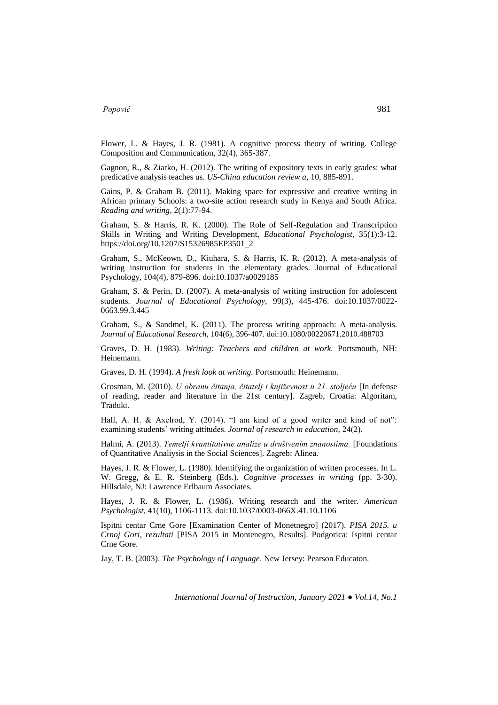Flower, L. & Hayes, J. R. (1981). A cognitive process theory of writing. College Composition and Communication, 32(4), 365-387.

Gagnon, R., & Ziarko, H. (2012). The writing of expository texts in early grades: what predicative analysis teaches us. *US-China education review a,* 10, 885-891.

Gains, P. & Graham B. (2011). Making space for expressive and creative writing in African primary Schools: a two-site action research study in Kenya and South Africa. *Reading and writing*, 2(1):77-94.

Graham, S. & Harris, R. K. (2000). The Role of Self-Regulation and Transcription Skills in Writing and Writing Development, *Educational Psychologist,* 35(1):3*-*12. [https://doi.org/10.1207/S15326985EP3501\\_2](https://doi.org/10.1207/S15326985EP3501_2)

Graham, S., McKeown, D., Kiuhara, S. & Harris, K. R. (2012). A meta-analysis of writing instruction for students in the elementary grades. Journal of Educational Psychology, 104(4), 879-896. doi:10.1037/a0029185

Graham, S. & Perin, D. (2007). A meta-analysis of writing instruction for adolescent students. *Journal of Educational Psychology,* 99(3), 445-476. doi:10.1037/0022- 0663.99.3.445

Graham, S., & Sandmel, K. (2011). The process writing approach: A meta-analysis. *Journal of Educational Research,* 104(6), 396-407. doi:10.1080/00220671.2010.488703

Graves, D. H. (1983). *Writing: Teachers and children at work.* Portsmouth, NH: Heinemann.

Graves, D. H. (1994). *A fresh look at writing.* Portsmouth: Heinemann.

Grosman, M. (2010). *U obranu čitanja, čitatelj i književnost u 21. stoljeću* [In defense of reading, reader and literature in the 21st century]. Zagreb, Croatia: Algoritam, Traduki.

Hall, A. H. & Axelrod, Y. (2014). "I am kind of a good writer and kind of not": examining students' writing attitudes. *Journal of research in education,* 24(2).

Halmi, A. (2013). *Temelji kvantitativne analize u društvenim znanostima.* [Foundations of Quantitative Analiysis in the Social Sciences]. Zagreb: Alinea.

Hayes, J. R. & Flower, L. (1980). Identifying the organization of written processes. In L. W. Gregg, & E. R. Steinberg (Eds.). *Cognitive processes in writing* (pp. 3-30). Hillsdale, NJ: Lawrence Erlbaum Associates.

Hayes, J. R. & Flower, L. (1986). Writing research and the writer. *American Psychologist,* 41(10), 1106-1113. doi:10.1037/0003-066X.41.10.1106

Ispitni centar Crne Gore [Examination Center of Monetnegro] (2017). *PISA 2015. u Crnoj Gori, rezultati* [PISA 2015 in Montenegro, Results]. Podgorica: Ispitni centar Crne Gore.

Jay, T. B. (2003). *The Psychology of Language*. New Jersey: Pearson Educaton.